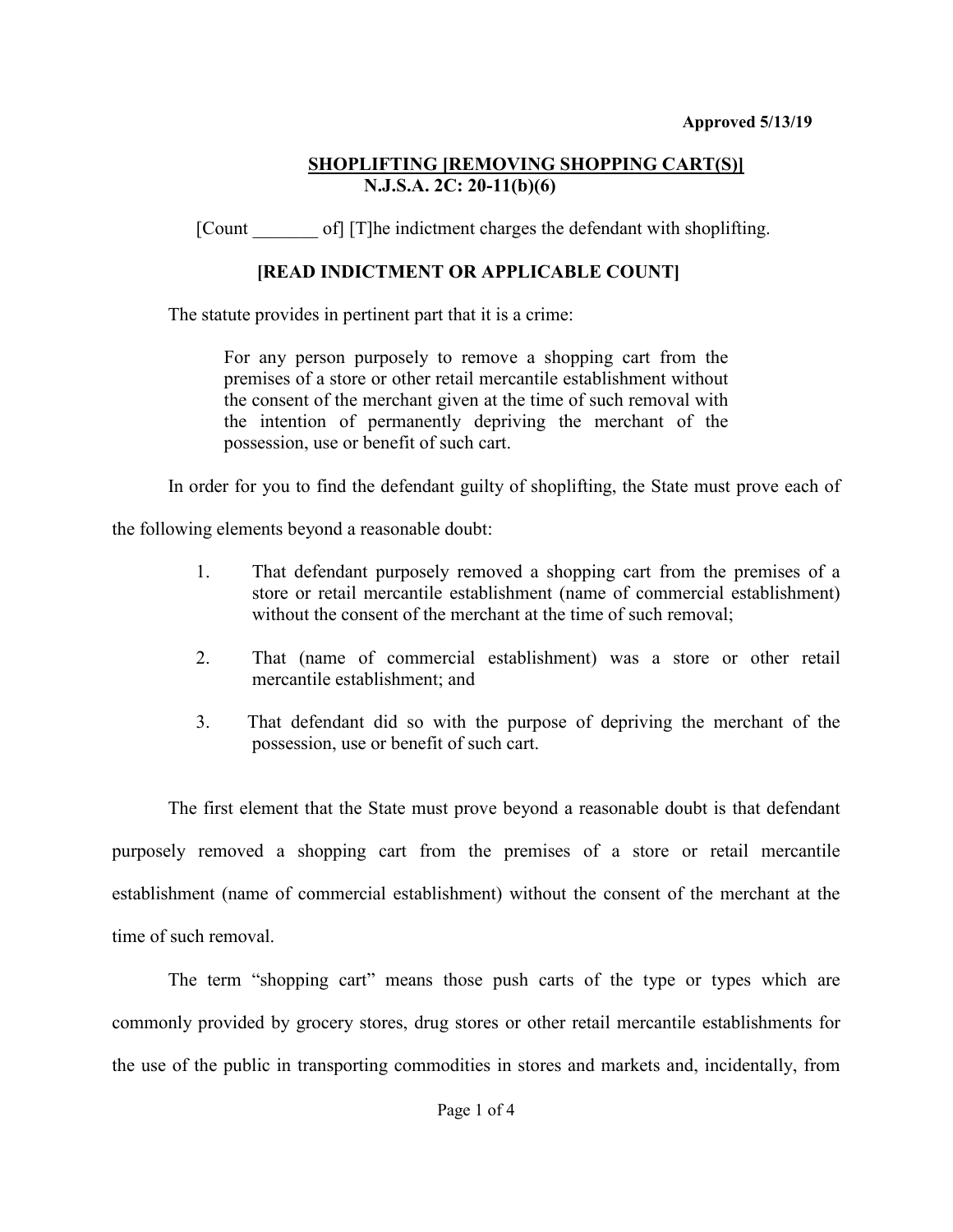## **SHOPLIFTING [REMOVING SHOPPING CART(S)] N.J.S.A. 2C: 20-11(b)(6)**

[Count of] [T]he indictment charges the defendant with shoplifting.

# **[READ INDICTMENT OR APPLICABLE COUNT]**

The statute provides in pertinent part that it is a crime:

For any person purposely to remove a shopping cart from the premises of a store or other retail mercantile establishment without the consent of the merchant given at the time of such removal with the intention of permanently depriving the merchant of the possession, use or benefit of such cart.

In order for you to find the defendant guilty of shoplifting, the State must prove each of

the following elements beyond a reasonable doubt:

- 1. That defendant purposely removed a shopping cart from the premises of a store or retail mercantile establishment (name of commercial establishment) without the consent of the merchant at the time of such removal;
- 2. That (name of commercial establishment) was a store or other retail mercantile establishment; and
- 3. That defendant did so with the purpose of depriving the merchant of the possession, use or benefit of such cart.

The first element that the State must prove beyond a reasonable doubt is that defendant purposely removed a shopping cart from the premises of a store or retail mercantile establishment (name of commercial establishment) without the consent of the merchant at the time of such removal.

The term "shopping cart" means those push carts of the type or types which are commonly provided by grocery stores, drug stores or other retail mercantile establishments for the use of the public in transporting commodities in stores and markets and, incidentally, from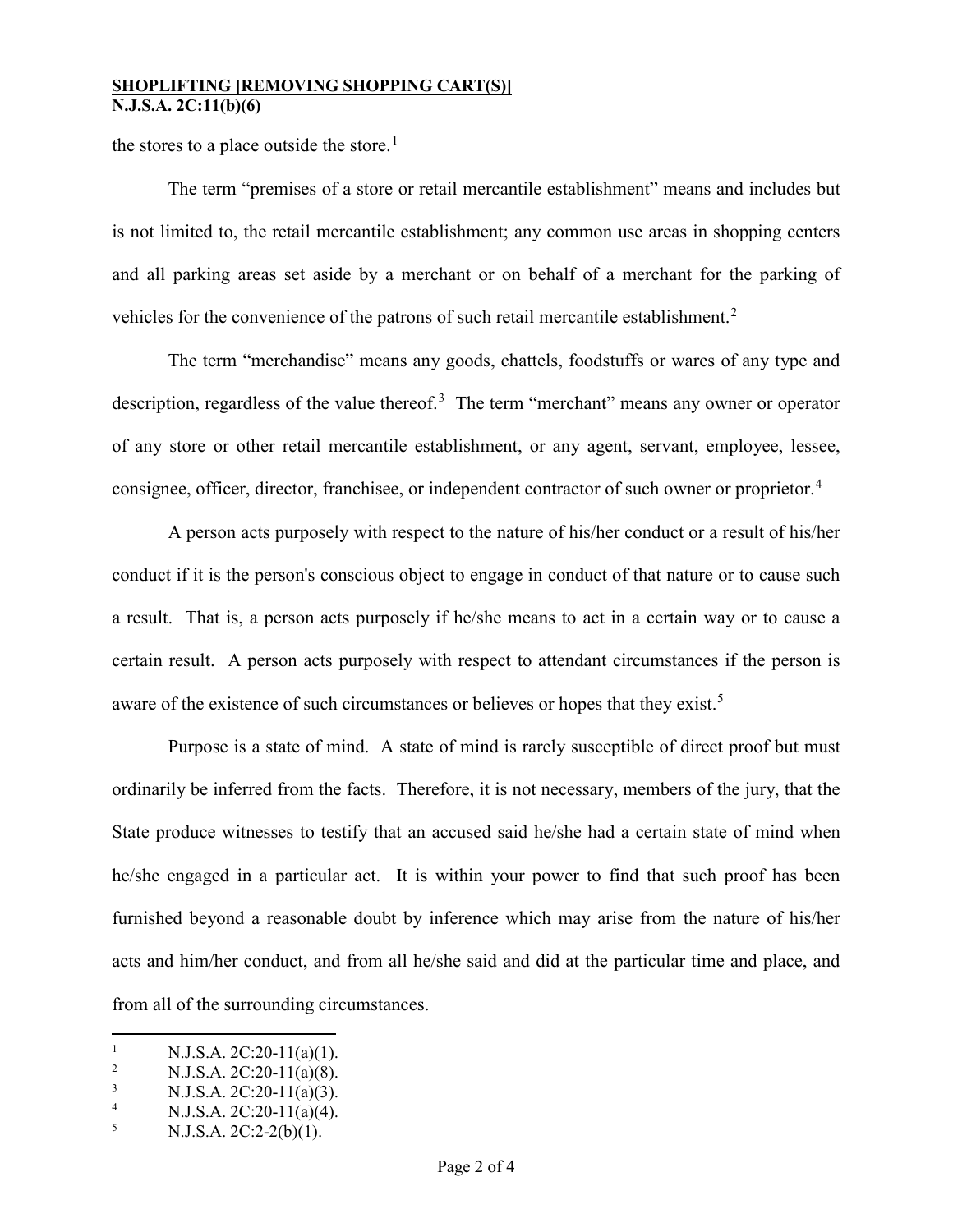#### **SHOPLIFTING [REMOVING SHOPPING CART(S)] N.J.S.A. 2C:11(b)(6)**

the stores to a place outside the store.<sup>[1](#page-1-0)</sup>

The term "premises of a store or retail mercantile establishment" means and includes but is not limited to, the retail mercantile establishment; any common use areas in shopping centers and all parking areas set aside by a merchant or on behalf of a merchant for the parking of vehicles for the convenience of the patrons of such retail mercantile establishment.<sup>[2](#page-1-1)</sup>

The term "merchandise" means any goods, chattels, foodstuffs or wares of any type and description, regardless of the value thereof.<sup>[3](#page-1-2)</sup> The term "merchant" means any owner or operator of any store or other retail mercantile establishment, or any agent, servant, employee, lessee, consignee, officer, director, franchisee, or independent contractor of such owner or proprietor.<sup>[4](#page-1-3)</sup>

A person acts purposely with respect to the nature of his/her conduct or a result of his/her conduct if it is the person's conscious object to engage in conduct of that nature or to cause such a result. That is, a person acts purposely if he/she means to act in a certain way or to cause a certain result. A person acts purposely with respect to attendant circumstances if the person is aware of the existence of such circumstances or believes or hopes that they exist.<sup>[5](#page-1-4)</sup>

Purpose is a state of mind. A state of mind is rarely susceptible of direct proof but must ordinarily be inferred from the facts. Therefore, it is not necessary, members of the jury, that the State produce witnesses to testify that an accused said he/she had a certain state of mind when he/she engaged in a particular act. It is within your power to find that such proof has been furnished beyond a reasonable doubt by inference which may arise from the nature of his/her acts and him/her conduct, and from all he/she said and did at the particular time and place, and from all of the surrounding circumstances.

 $\frac{1}{1}$ <sup>1</sup> N.J.S.A. 2C:20-11(a)(1).

<span id="page-1-1"></span><span id="page-1-0"></span><sup>2</sup> <sup>2</sup> N.J.S.A. 2C:20-11(a)(8).<br><sup>3</sup> N.J.S.A. 2C:20-11(a)(2).

<span id="page-1-2"></span>N.J.S.A. 2C:20-11(a)(3).

<span id="page-1-3"></span><sup>4</sup> <sup>4</sup> N.J.S.A. 2C:20-11(a)(4).

<span id="page-1-4"></span><sup>5</sup> N.J.S.A. 2C:2-2(b)(1).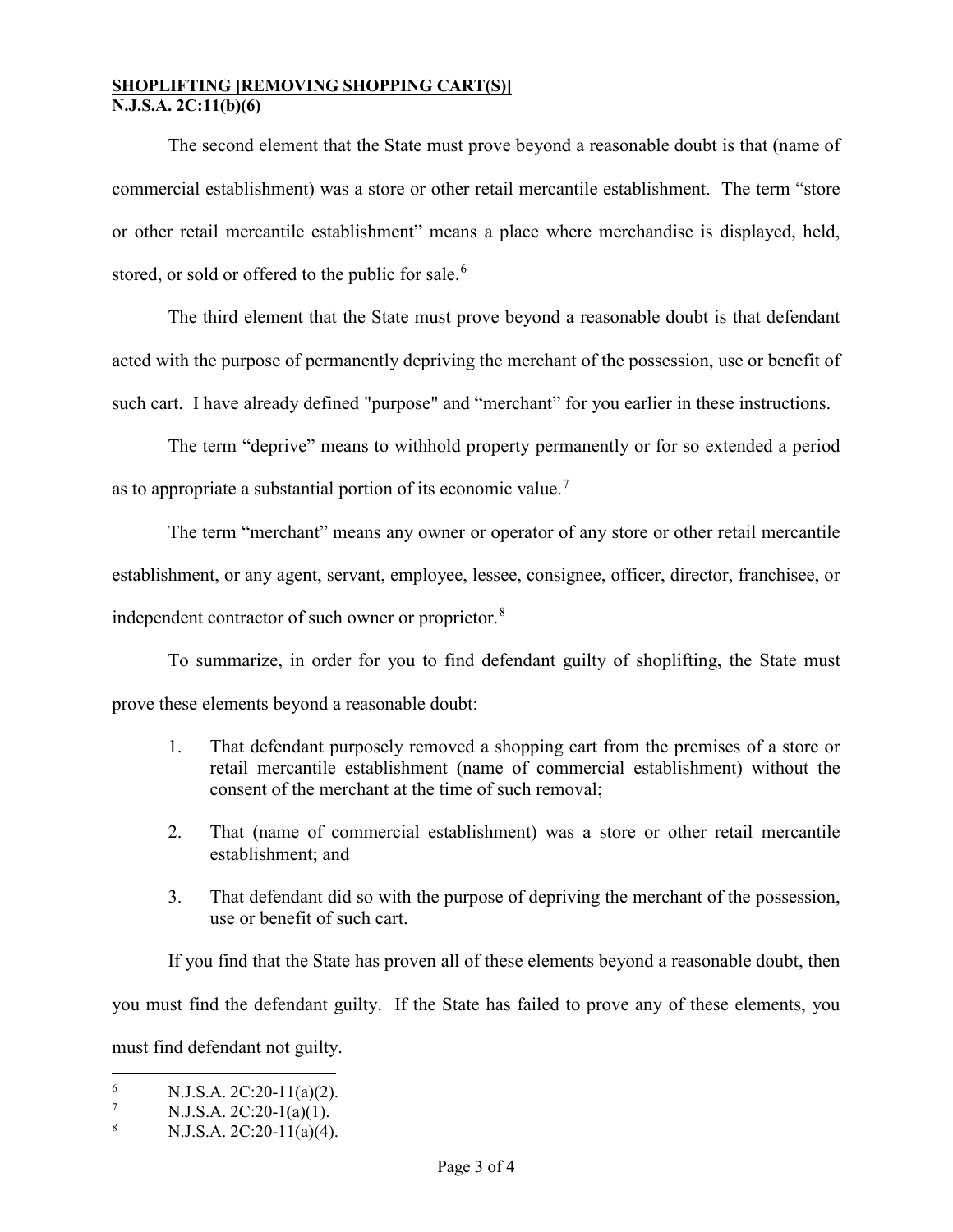#### **SHOPLIFTING [REMOVING SHOPPING CART(S)] N.J.S.A. 2C:11(b)(6)**

The second element that the State must prove beyond a reasonable doubt is that (name of commercial establishment) was a store or other retail mercantile establishment. The term "store or other retail mercantile establishment" means a place where merchandise is displayed, held, stored, or sold or offered to the public for sale.<sup>[6](#page-2-0)</sup>

The third element that the State must prove beyond a reasonable doubt is that defendant acted with the purpose of permanently depriving the merchant of the possession, use or benefit of such cart. I have already defined "purpose" and "merchant" for you earlier in these instructions.

The term "deprive" means to withhold property permanently or for so extended a period as to appropriate a substantial portion of its economic value.<sup>[7](#page-2-1)</sup>

The term "merchant" means any owner or operator of any store or other retail mercantile establishment, or any agent, servant, employee, lessee, consignee, officer, director, franchisee, or independent contractor of such owner or proprietor.<sup>[8](#page-2-2)</sup>

To summarize, in order for you to find defendant guilty of shoplifting, the State must prove these elements beyond a reasonable doubt:

- 1. That defendant purposely removed a shopping cart from the premises of a store or retail mercantile establishment (name of commercial establishment) without the consent of the merchant at the time of such removal;
- 2. That (name of commercial establishment) was a store or other retail mercantile establishment; and
- 3. That defendant did so with the purpose of depriving the merchant of the possession, use or benefit of such cart.

If you find that the State has proven all of these elements beyond a reasonable doubt, then you must find the defendant guilty. If the State has failed to prove any of these elements, you must find defendant not guilty.

<span id="page-2-0"></span> $\frac{6}{100}$  N.J.S.A. 2C:20-11(a)(2).

<span id="page-2-1"></span><sup>7</sup> N.J.S.A. 2C:20-1(a)(1).

<span id="page-2-2"></span><sup>8</sup> N.J.S.A. 2C:20-11(a)(4).